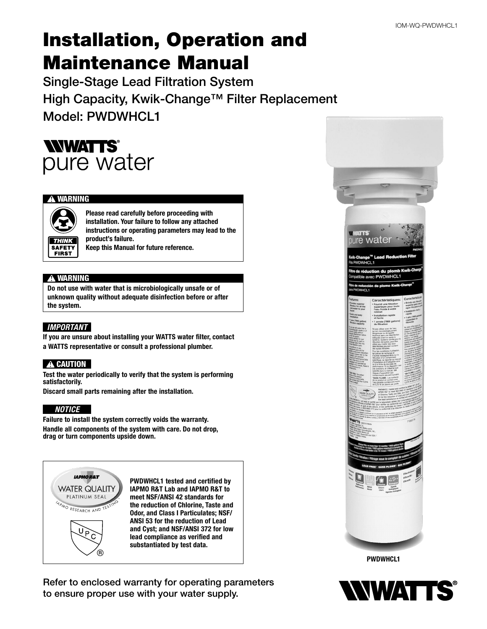# Installation, Operation and Maintenance Manual

Single-Stage Lead Filtration System High Capacity, Kwik-Change™ Filter Replacement Model: PWDWHCL1



#### **!** WARNING



Please read carefully before proceeding with installation. Your failure to follow any attached instructions or operating parameters may lead to the product's failure.

Keep this Manual for future reference.

#### **!** WARNING

Do not use with water that is microbiologically unsafe or of unknown quality without adequate disinfection before or after the system.

#### *IMPORTANT*

If you are unsure about installing your WATTS water filter, contact a WATTS representative or consult a professional plumber.

#### **A** CAUTION

Test the water periodically to verify that the system is performing satisfactorily.

Discard small parts remaining after the installation.

#### *NOTICE*

Failure to install the system correctly voids the warranty. Handle all components of the system with care. Do not drop, drag or turn components upside down.



PWDWHCL1 tested and certified by IAPMO R&T Lab and IAPMO R&T to meet NSF/ANSI 42 standards for the reduction of Chlorine, Taste and Odor, and Class I Particulates; NSF/ ANSI 53 for the reduction of Lead and Cyst; and NSF/ANSI 372 for low lead compliance as verified and substantiated by test data.

Refer to enclosed warranty for operating parameters to ensure proper use with your water supply.



PWDWHCL1

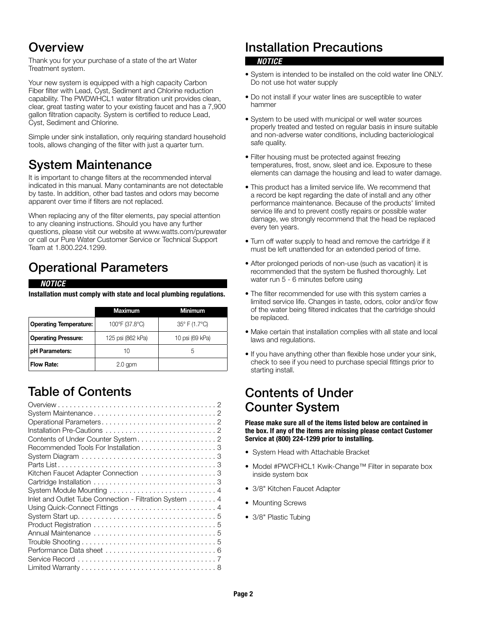### Overview

Thank you for your purchase of a state of the art Water Treatment system.

Your new system is equipped with a high capacity Carbon Fiber filter with Lead, Cyst, Sediment and Chlorine reduction capability. The PWDWHCL1 water filtration unit provides clean, clear, great tasting water to your existing faucet and has a 7,900 gallon filtration capacity. System is certified to reduce Lead, Cyst, Sediment and Chlorine.

Simple under sink installation, only requiring standard household tools, allows changing of the filter with just a quarter turn.

### System Maintenance

It is important to change filters at the recommended interval indicated in this manual. Many contaminants are not detectable by taste. In addition, other bad tastes and odors may become apparent over time if filters are not replaced.

When replacing any of the filter elements, pay special attention to any cleaning instructions. Should you have any further questions, please visit our website at www.watts.com/purewater or call our Pure Water Customer Service or Technical Support Team at 1.800.224.1299.

## Operational Parameters

#### *NOTICE*

Installation must comply with state and local plumbing regulations.

|                               | <b>Maximum</b>    | Minimum         |  |
|-------------------------------|-------------------|-----------------|--|
| <b>Operating Temperature:</b> | 100°F (37.8°C)    | 35° F (1.7°C)   |  |
| <b>Operating Pressure:</b>    | 125 psi (862 kPa) | 10 psi (69 kPa) |  |
| pH Parameters:                | 10                | 5               |  |
| <b>Flow Rate:</b>             | $2.0$ gpm         |                 |  |

## Table of Contents

| Inlet and Outlet Tube Connection - Filtration System 4                                            |
|---------------------------------------------------------------------------------------------------|
|                                                                                                   |
|                                                                                                   |
|                                                                                                   |
|                                                                                                   |
| Trouble Shooting $\ldots \ldots \ldots \ldots \ldots \ldots \ldots \ldots \ldots \ldots \ldots 5$ |
|                                                                                                   |
|                                                                                                   |
|                                                                                                   |

## Installation Precautions

#### *NOTICE*

- System is intended to be installed on the cold water line ONLY. Do not use hot water supply
- Do not install if your water lines are susceptible to water hammer
- System to be used with municipal or well water sources properly treated and tested on regular basis in insure suitable and non-adverse water conditions, including bacteriological safe quality.
- Filter housing must be protected against freezing temperatures, frost, snow, sleet and ice. Exposure to these elements can damage the housing and lead to water damage.
- This product has a limited service life. We recommend that a record be kept regarding the date of install and any other performance maintenance. Because of the products' limited service life and to prevent costly repairs or possible water damage, we strongly recommend that the head be replaced every ten years.
- Turn off water supply to head and remove the cartridge if it must be left unattended for an extended period of time.
- After prolonged periods of non-use (such as vacation) it is recommended that the system be flushed thoroughly. Let water run 5 - 6 minutes before using
- The filter recommended for use with this system carries a limited service life. Changes in taste, odors, color and/or flow of the water being filtered indicates that the cartridge should be replaced.
- Make certain that installation complies with all state and local laws and regulations.
- If you have anything other than flexible hose under your sink, check to see if you need to purchase special fittings prior to starting install.

### Contents of Under Counter System

Please make sure all of the items listed below are contained in the box. If any of the items are missing please contact Customer Service at (800) 224-1299 prior to installing.

- System Head with Attachable Bracket
- Model #PWCFHCL1 Kwik-Change™ Filter in separate box inside system box
- 3/8" Kitchen Faucet Adapter
- Mounting Screws
- 3/8" Plastic Tubing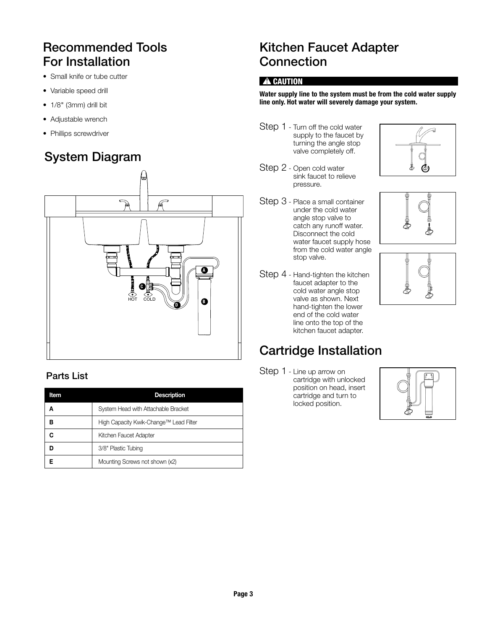## Recommended Tools For Installation

- Small knife or tube cutter
- Variable speed drill
- 1/8" (3mm) drill bit
- Adjustable wrench
- Phillips screwdriver

## System Diagram



### Parts List

| Item | <b>Description</b>                     |
|------|----------------------------------------|
| А    | System Head with Attachable Bracket    |
| в    | High Capacity Kwik-Change™ Lead Filter |
|      | Kitchen Faucet Adapter                 |
|      | 3/8" Plastic Tubing                    |
|      | Mounting Screws not shown (x2)         |

### Kitchen Faucet Adapter **Connection**

#### **A** CAUTION

#### Water supply line to the system must be from the cold water supply line only. Hot water will severely damage your system.

- Step 1 Turn off the cold water supply to the faucet by turning the angle stop valve completely off.
- Step 2 Open cold water sink faucet to relieve pressure.
- Step 3 Place a small container under the cold water angle stop valve to catch any runoff water. Disconnect the cold water faucet supply hose from the cold water angle stop valve.
- Step 4 Hand-tighten the kitchen faucet adapter to the cold water angle stop valve as shown. Next hand-tighten the lower end of the cold water line onto the top of the kitchen faucet adapter.

## Cartridge Installation

Step 1 - Line up arrow on cartridge with unlocked position on head, insert cartridge and turn to locked position.



Page 3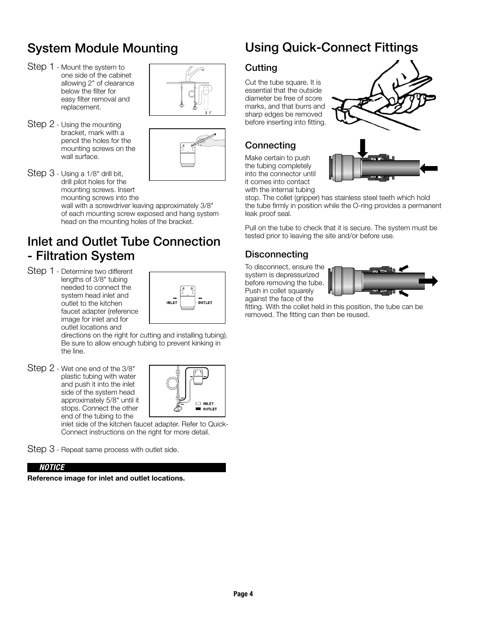## System Module Mounting

- Step 1 Mount the system to one side of the cabinet allowing 2" of clearance below the filter for easy filter removal and replacement.
- Step 2 Using the mounting bracket, mark with a pencil the holes for the mounting screws on the wall surface.





Step 3 - Using a 1/8" drill bit, drill pilot holes for the mounting screws. Insert mounting screws into the wall with a screwdriver leaving approximately 3/8"

of each mounting screw exposed and hang system head on the mounting holes of the bracket.

### Inlet and Outlet Tube Connection - Filtration System

Step 1 - Determine two different lengths of 3/8" tubing needed to connect the system head inlet and outlet to the kitchen faucet adapter (reference image for inlet and for outlet locations and



directions on the right for cutting and installing tubing). Be sure to allow enough tubing to prevent kinking in the line.

Step 2 - Wet one end of the 3/8" plastic tubing with water and push it into the inlet side of the system head approximately 5/8" until it stops. Connect the other end of the tubing to the



inlet side of the kitchen faucet adapter. Refer to Quick-Connect instructions on the right for more detail.

Step 3 - Repeat same process with outlet side.

#### *NOTICE*

Reference image for inlet and outlet locations.

## Using Quick-Connect Fittings

### Cutting

Cut the tube square. It is essential that the outside diameter be free of score marks, and that burrs and sharp edges be removed before inserting into fitting.



### **Connecting**

Make certain to push the tubing completely into the connector until it comes into contact with the internal tubing



stop. The collet (gripper) has stainless steel teeth which hold the tube firmly in position while the O-ring provides a permanent leak proof seal.

Pull on the tube to check that it is secure. The system must be tested prior to leaving the site and/or before use.

### **Disconnecting**

To disconnect, ensure the system is depressurized before removing the tube. Push in collet squarely against the face of the



fitting. With the collet held in this position, the tube can be removed. The fitting can then be reused.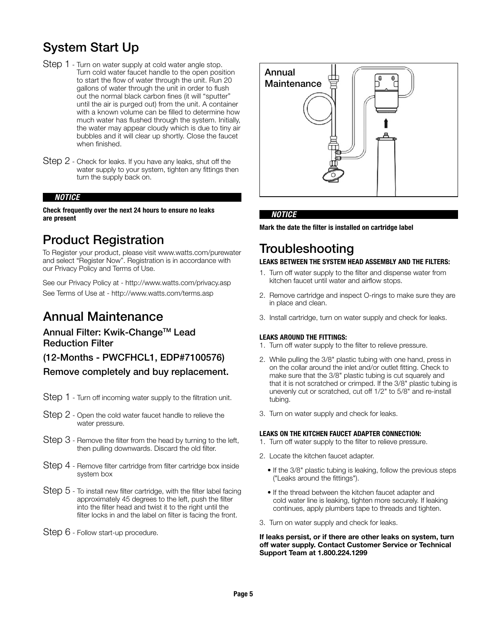### System Start Up

- Step 1 Turn on water supply at cold water angle stop. Turn cold water faucet handle to the open position to start the flow of water through the unit. Run 20 gallons of water through the unit in order to flush out the normal black carbon fines (it will "sputter" until the air is purged out) from the unit. A container with a known volume can be filled to determine how much water has flushed through the system. Initially, the water may appear cloudy which is due to tiny air bubbles and it will clear up shortly. Close the faucet when finished.
- Step 2 Check for leaks. If you have any leaks, shut off the water supply to your system, tighten any fittings then turn the supply back on.

#### *NOTICE*

#### Check frequently over the next 24 hours to ensure no leaks are present

### Product Registration

To Register your product, please visit www.watts.com/purewater and select "Register Now". Registration is in accordance with our Privacy Policy and Terms of Use.

See our Privacy Policy at - http://www.watts.com/privacy.asp See Terms of Use at - http://www.watts.com/terms.asp

### Annual Maintenance

#### Annual Filter: Kwik-Change™ Lead Reduction Filter

### (12-Months - PWCFHCL1, EDP#7100576)

Remove completely and buy replacement.

- Step 1 Turn off incoming water supply to the filtration unit.
- Step 2 Open the cold water faucet handle to relieve the water pressure.
- Step 3 Remove the filter from the head by turning to the left, then pulling downwards. Discard the old filter.
- Step 4 Remove filter cartridge from filter cartridge box inside system box
- Step 5 To install new filter cartridge, with the filter label facing approximately 45 degrees to the left, push the filter into the filter head and twist it to the right until the filter locks in and the label on filter is facing the front.
- Step 6 Follow start-up procedure.



#### *NOTICE*

Mark the date the filter is installed on cartridge label

# **Troubleshooting**

### LEAKS BETWEEN THE SYSTEM HEAD ASSEMBLY AND THE FILTERS:

- 1. Turn off water supply to the filter and dispense water from kitchen faucet until water and airflow stops.
- 2. Remove cartridge and inspect O-rings to make sure they are in place and clean.
- 3. Install cartridge, turn on water supply and check for leaks.

#### LEAKS AROUND THE FITTINGS:

- 1. Turn off water supply to the filter to relieve pressure.
- 2. While pulling the 3/8" plastic tubing with one hand, press in on the collar around the inlet and/or outlet fitting. Check to make sure that the 3/8" plastic tubing is cut squarely and that it is not scratched or crimped. If the 3/8" plastic tubing is unevenly cut or scratched, cut off 1/2" to 5/8" and re-install tubing.
- 3. Turn on water supply and check for leaks.

#### LEAKS ON THE KITCHEN FAUCET ADAPTER CONNECTION:

- 1. Turn off water supply to the filter to relieve pressure.
- 2. Locate the kitchen faucet adapter.
	- If the 3/8" plastic tubing is leaking, follow the previous steps ("Leaks around the fittings").
	- If the thread between the kitchen faucet adapter and cold water line is leaking, tighten more securely. If leaking continues, apply plumbers tape to threads and tighten.
- 3. Turn on water supply and check for leaks.

If leaks persist, or if there are other leaks on system, turn off water supply. Contact Customer Service or Technical Support Team at 1.800.224.1299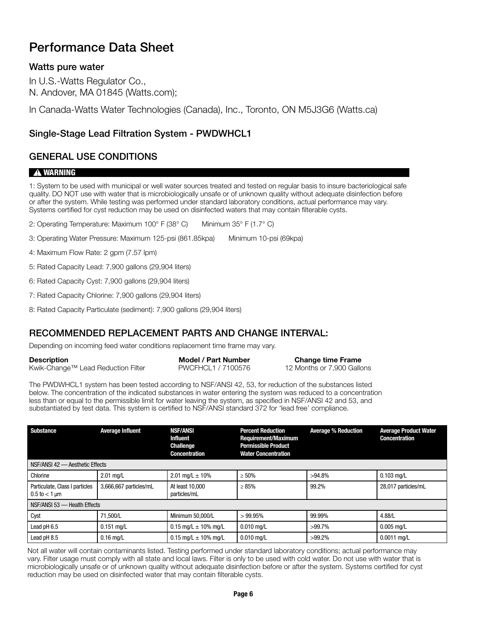### Performance Data Sheet

### Watts pure water

In U.S.-Watts Regulator Co., N. Andover, MA 01845 (Watts.com);

In Canada-Watts Water Technologies (Canada), Inc., Toronto, ON M5J3G6 (Watts.ca)

### Single-Stage Lead Filtration System - PWDWHCL1

### GENERAL USE CONDITIONS

#### **!** WARNING

1: System to be used with municipal or well water sources treated and tested on regular basis to insure bacteriological safe quality. DO NOT use with water that is microbiologically unsafe or of unknown quality without adequate disinfection before or after the system. While testing was performed under standard laboratory conditions, actual performance may vary. Systems certified for cyst reduction may be used on disinfected waters that may contain filterable cysts.

2: Operating Temperature: Maximum 100° F (38° C) Minimum 35° F (1.7° C)

3: Operating Water Pressure: Maximum 125-psi (861.85kpa) Minimum 10-psi (69kpa)

4: Maximum Flow Rate: 2 gpm (7.57 lpm)

5: Rated Capacity Lead: 7,900 gallons (29,904 liters)

6: Rated Capacity Cyst: 7,900 gallons (29,904 liters)

7: Rated Capacity Chlorine: 7,900 gallons (29,904 liters)

8: Rated Capacity Particulate (sediment): 7,900 gallons (29,904 liters)

### RECOMMENDED REPLACEMENT PARTS AND CHANGE INTERVAL:

Depending on incoming feed water conditions replacement time frame may vary.

| Description                        | Model / Part Number | <b>Change time Frame</b>   |
|------------------------------------|---------------------|----------------------------|
| Kwik-Change™ Lead Reduction Filter | PWCFHCL1 / 7100576  | 12 Months or 7,900 Gallons |

The PWDWHCL1 system has been tested according to NSF/ANSI 42, 53, for reduction of the substances listed below. The concentration of the indicated substances in water entering the system was reduced to a concentration less than or equal to the permissible limit for water leaving the system, as specified in NSF/ANSI 42 and 53, and substantiated by test data. This system is certified to NSF/ANSI standard 372 for 'lead free' compliance.

| <b>Substance</b>                                                   | <b>Average Influent</b> | <b>NSF/ANSI</b><br><b>Influent</b><br><b>Challenge</b><br><b>Concentration</b> | <b>Percent Reduction</b><br><b>Requirement/Maximum</b><br><b>Permissible Product</b><br><b>Water Concentration</b> | <b>Average % Reduction</b> | <b>Average Product Water</b><br><b>Concentration</b> |
|--------------------------------------------------------------------|-------------------------|--------------------------------------------------------------------------------|--------------------------------------------------------------------------------------------------------------------|----------------------------|------------------------------------------------------|
| NSF/ANSI 42 - Aesthetic Effects                                    |                         |                                                                                |                                                                                                                    |                            |                                                      |
| Chlorine                                                           | $2.01$ mg/L             | 2.01 mg/L $\pm$ 10%                                                            | $\geq 50\%$                                                                                                        | $>94.8\%$                  | $0.103$ mg/L                                         |
| Particulate, Class I particles<br>$0.5 \text{ to } < 1 \text{ µm}$ | 3,666,667 particles/mL  | At least 10,000<br>particles/mL                                                | $\geq 85\%$                                                                                                        | 99.2%                      | 28,017 particles/mL                                  |
| NSF/ANSI 53 - Health Effects                                       |                         |                                                                                |                                                                                                                    |                            |                                                      |
| Cyst                                                               | 71.500/L                | Minimum 50.000/L                                                               | >99.95%                                                                                                            | 99.99%                     | 4.88/L                                               |
| Lead pH 6.5                                                        | $0.151$ mg/L            | $0.15$ mg/L $\pm$ 10% mg/L                                                     | $0.010$ mg/L                                                                                                       | $>99.7\%$                  | $0.005$ mg/L                                         |
| Lead pH 8.5                                                        | $0.16$ mg/L             | $0.15$ mg/L $\pm$ 10% mg/L                                                     | $0.010$ mg/L                                                                                                       | $>99.2\%$                  | $0.0011$ mg/L                                        |

Not all water will contain contaminants listed. Testing performed under standard laboratory conditions; actual performance may vary. Filter usage must comply with all state and local laws. Filter is only to be used with cold water. Do not use with water that is microbiologically unsafe or of unknown quality without adequate disinfection before or after the system. Systems certified for cyst reduction may be used on disinfected water that may contain filterable cysts.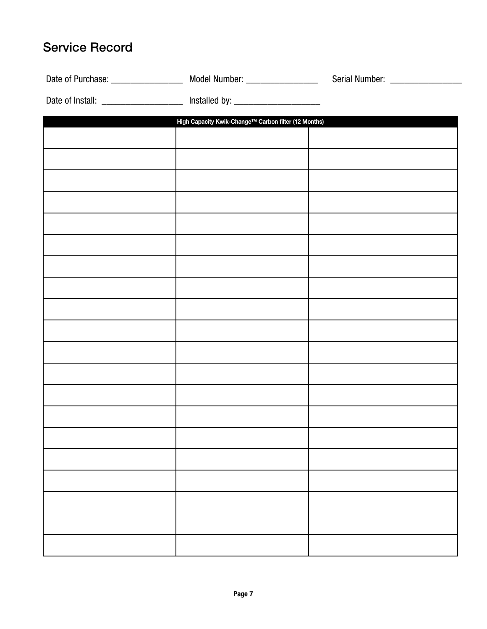## Service Record

| Date of Install: ______________________ Installed by: __________________________ |  |
|----------------------------------------------------------------------------------|--|
| High Capacity Kwik-Change™ Carbon filter (12 Months)                             |  |
|                                                                                  |  |
|                                                                                  |  |
|                                                                                  |  |
|                                                                                  |  |
|                                                                                  |  |
|                                                                                  |  |
|                                                                                  |  |
|                                                                                  |  |
|                                                                                  |  |
|                                                                                  |  |
|                                                                                  |  |
|                                                                                  |  |
|                                                                                  |  |
|                                                                                  |  |
|                                                                                  |  |
|                                                                                  |  |
|                                                                                  |  |
|                                                                                  |  |
|                                                                                  |  |
|                                                                                  |  |
|                                                                                  |  |